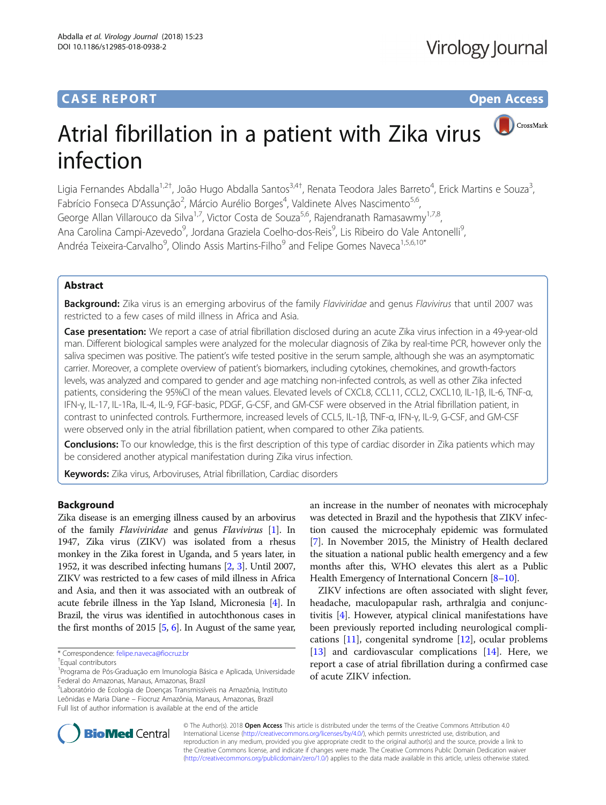## **CASE REPORT CASE REPORT CASE REPORT**

# CrossMark

# Atrial fibrillation in a patient with Zika virus infection

Ligia Fernandes Abdalla<sup>1,2†</sup>, João Hugo Abdalla Santos<sup>3,4†</sup>, Renata Teodora Jales Barreto<sup>4</sup>, Erick Martins e Souza<sup>3</sup> , Fabrício Fonseca D'Assunção<sup>2</sup>, Márcio Aurélio Borges<sup>4</sup>, Valdinete Alves Nascimento<sup>5,6</sup>, George Allan Villarouco da Silva<sup>1,7</sup>, Victor Costa de Souza<sup>5,6</sup>, Rajendranath Ramasawmy<sup>1,7,8</sup>, Ana Carolina Campi-Azevedo<sup>9</sup>, Jordana Graziela Coelho-dos-Reis<sup>9</sup>, Lis Ribeiro do Vale Antonelli<sup>s</sup> , Andréa Teixeira-Carvalho<sup>9</sup>, Olindo Assis Martins-Filho<sup>9</sup> and Felipe Gomes Naveca<sup>1,5,6,10\*</sup>

#### Abstract

Background: Zika virus is an emerging arbovirus of the family Flaviviridae and genus Flavivirus that until 2007 was restricted to a few cases of mild illness in Africa and Asia.

Case presentation: We report a case of atrial fibrillation disclosed during an acute Zika virus infection in a 49-year-old man. Different biological samples were analyzed for the molecular diagnosis of Zika by real-time PCR, however only the saliva specimen was positive. The patient's wife tested positive in the serum sample, although she was an asymptomatic carrier. Moreover, a complete overview of patient's biomarkers, including cytokines, chemokines, and growth-factors levels, was analyzed and compared to gender and age matching non-infected controls, as well as other Zika infected patients, considering the 95%CI of the mean values. Elevated levels of CXCL8, CCL11, CCL2, CXCL10, IL-1β, IL-6, TNF-α, IFN-γ, IL-17, IL-1Ra, IL-4, IL-9, FGF-basic, PDGF, G-CSF, and GM-CSF were observed in the Atrial fibrillation patient, in contrast to uninfected controls. Furthermore, increased levels of CCL5, IL-1β, TNF-α, IFN-γ, IL-9, G-CSF, and GM-CSF were observed only in the atrial fibrillation patient, when compared to other Zika patients.

Conclusions: To our knowledge, this is the first description of this type of cardiac disorder in Zika patients which may be considered another atypical manifestation during Zika virus infection.

**Keywords:** Zika virus, Arboviruses, Atrial fibrillation, Cardiac disorders

### Background

Zika disease is an emerging illness caused by an arbovirus of the family Flaviviridae and genus Flavivirus [[1](#page-4-0)]. In 1947, Zika virus (ZIKV) was isolated from a rhesus monkey in the Zika forest in Uganda, and 5 years later, in 1952, it was described infecting humans [\[2](#page-4-0), [3\]](#page-4-0). Until 2007, ZIKV was restricted to a few cases of mild illness in Africa and Asia, and then it was associated with an outbreak of acute febrile illness in the Yap Island, Micronesia [\[4\]](#page-4-0). In Brazil, the virus was identified in autochthonous cases in the first months of 2015 [\[5,](#page-4-0) [6](#page-4-0)]. In August of the same year,

<sup>5</sup>Laboratório de Ecologia de Doenças Transmissíveis na Amazônia, Instituto Leônidas e Maria Diane – Fiocruz Amazônia, Manaus, Amazonas, Brazil Full list of author information is available at the end of the article

an increase in the number of neonates with microcephaly was detected in Brazil and the hypothesis that ZIKV infection caused the microcephaly epidemic was formulated [[7\]](#page-4-0). In November 2015, the Ministry of Health declared the situation a national public health emergency and a few months after this, WHO elevates this alert as a Public Health Emergency of International Concern [\[8](#page-4-0)–[10](#page-4-0)].

ZIKV infections are often associated with slight fever, headache, maculopapular rash, arthralgia and conjunctivitis [[4\]](#page-4-0). However, atypical clinical manifestations have been previously reported including neurological complications [\[11](#page-4-0)], congenital syndrome [\[12](#page-4-0)], ocular problems [[13\]](#page-4-0) and cardiovascular complications [\[14\]](#page-4-0). Here, we report a case of atrial fibrillation during a confirmed case of acute ZIKV infection.



© The Author(s). 2018 Open Access This article is distributed under the terms of the Creative Commons Attribution 4.0 International License [\(http://creativecommons.org/licenses/by/4.0/](http://creativecommons.org/licenses/by/4.0/)), which permits unrestricted use, distribution, and reproduction in any medium, provided you give appropriate credit to the original author(s) and the source, provide a link to the Creative Commons license, and indicate if changes were made. The Creative Commons Public Domain Dedication waiver [\(http://creativecommons.org/publicdomain/zero/1.0/](http://creativecommons.org/publicdomain/zero/1.0/)) applies to the data made available in this article, unless otherwise stated.

<sup>\*</sup> Correspondence: [felipe.naveca@fiocruz.br](mailto:felipe.naveca@fiocruz.br) †

Equal contributors

<sup>1</sup> Programa de Pós-Graduação em Imunologia Básica e Aplicada, Universidade Federal do Amazonas, Manaus, Amazonas, Brazil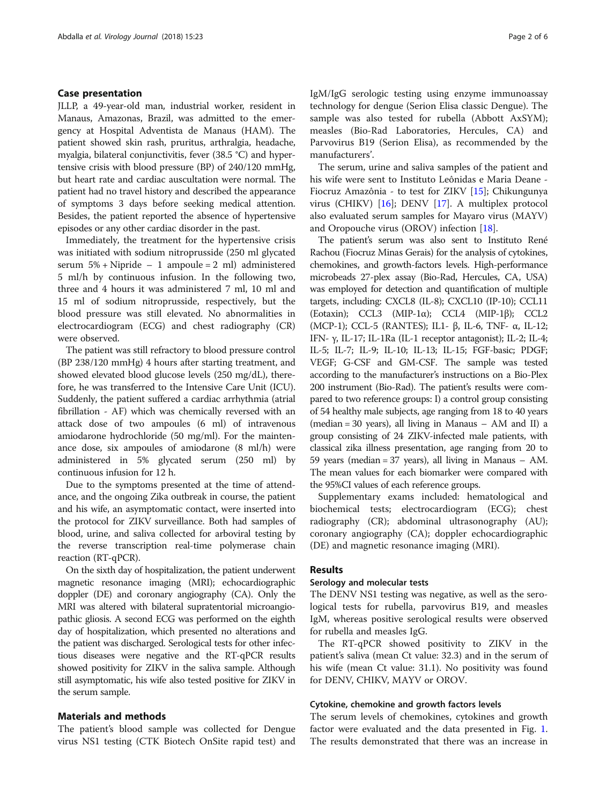#### Case presentation

JLLP, a 49-year-old man, industrial worker, resident in Manaus, Amazonas, Brazil, was admitted to the emergency at Hospital Adventista de Manaus (HAM). The patient showed skin rash, pruritus, arthralgia, headache, myalgia, bilateral conjunctivitis, fever (38.5 °C) and hypertensive crisis with blood pressure (BP) of 240/120 mmHg, but heart rate and cardiac auscultation were normal. The patient had no travel history and described the appearance of symptoms 3 days before seeking medical attention. Besides, the patient reported the absence of hypertensive episodes or any other cardiac disorder in the past.

Immediately, the treatment for the hypertensive crisis was initiated with sodium nitroprusside (250 ml glycated serum  $5\%$  + Nipride – 1 ampoule = 2 ml) administered 5 ml/h by continuous infusion. In the following two, three and 4 hours it was administered 7 ml, 10 ml and 15 ml of sodium nitroprusside, respectively, but the blood pressure was still elevated. No abnormalities in electrocardiogram (ECG) and chest radiography (CR) were observed.

The patient was still refractory to blood pressure control (BP 238/120 mmHg) 4 hours after starting treatment, and showed elevated blood glucose levels (250 mg/dL), therefore, he was transferred to the Intensive Care Unit (ICU). Suddenly, the patient suffered a cardiac arrhythmia (atrial fibrillation - AF) which was chemically reversed with an attack dose of two ampoules (6 ml) of intravenous amiodarone hydrochloride (50 mg/ml). For the maintenance dose, six ampoules of amiodarone (8 ml/h) were administered in 5% glycated serum (250 ml) by continuous infusion for 12 h.

Due to the symptoms presented at the time of attendance, and the ongoing Zika outbreak in course, the patient and his wife, an asymptomatic contact, were inserted into the protocol for ZIKV surveillance. Both had samples of blood, urine, and saliva collected for arboviral testing by the reverse transcription real-time polymerase chain reaction (RT-qPCR).

On the sixth day of hospitalization, the patient underwent magnetic resonance imaging (MRI); echocardiographic doppler (DE) and coronary angiography (CA). Only the MRI was altered with bilateral supratentorial microangiopathic gliosis. A second ECG was performed on the eighth day of hospitalization, which presented no alterations and the patient was discharged. Serological tests for other infectious diseases were negative and the RT-qPCR results showed positivity for ZIKV in the saliva sample. Although still asymptomatic, his wife also tested positive for ZIKV in the serum sample.

#### Materials and methods

The patient's blood sample was collected for Dengue virus NS1 testing (CTK Biotech OnSite rapid test) and IgM/IgG serologic testing using enzyme immunoassay technology for dengue (Serion Elisa classic Dengue). The sample was also tested for rubella (Abbott AxSYM); measles (Bio-Rad Laboratories, Hercules, CA) and Parvovirus B19 (Serion Elisa), as recommended by the manufacturers'.

The serum, urine and saliva samples of the patient and his wife were sent to Instituto Leônidas e Maria Deane - Fiocruz Amazônia - to test for ZIKV [\[15](#page-4-0)]; Chikungunya virus (CHIKV) [[16](#page-4-0)]; DENV [\[17](#page-4-0)]. A multiplex protocol also evaluated serum samples for Mayaro virus (MAYV) and Oropouche virus (OROV) infection [[18](#page-4-0)].

The patient's serum was also sent to Instituto René Rachou (Fiocruz Minas Gerais) for the analysis of cytokines, chemokines, and growth-factors levels. High-performance microbeads 27-plex assay (Bio-Rad, Hercules, CA, USA) was employed for detection and quantification of multiple targets, including: CXCL8 (IL-8); CXCL10 (IP-10); CCL11 (Eotaxin); CCL3 (MIP-1 $\alpha$ ); CCL4 (MIP-1 $\beta$ ); CCL2 (MCP-1); CCL-5 (RANTES); IL1- β, IL-6, TNF- α, IL-12; IFN- γ, IL-17; IL-1Ra (IL-1 receptor antagonist); IL-2; IL-4; IL-5; IL-7; IL-9; IL-10; IL-13; IL-15; FGF-basic; PDGF; VEGF; G-CSF and GM-CSF. The sample was tested according to the manufacturer's instructions on a Bio-Plex 200 instrument (Bio-Rad). The patient's results were compared to two reference groups: I) a control group consisting of 54 healthy male subjects, age ranging from 18 to 40 years (median = 30 years), all living in Manaus – AM and II) a group consisting of 24 ZIKV-infected male patients, with classical zika illness presentation, age ranging from 20 to 59 years (median = 37 years), all living in Manaus – AM. The mean values for each biomarker were compared with the 95%CI values of each reference groups.

Supplementary exams included: hematological and biochemical tests; electrocardiogram (ECG); chest radiography (CR); abdominal ultrasonography (AU); coronary angiography (CA); doppler echocardiographic (DE) and magnetic resonance imaging (MRI).

#### Results

#### Serology and molecular tests

The DENV NS1 testing was negative, as well as the serological tests for rubella, parvovirus B19, and measles IgM, whereas positive serological results were observed for rubella and measles IgG.

The RT-qPCR showed positivity to ZIKV in the patient's saliva (mean Ct value: 32.3) and in the serum of his wife (mean Ct value: 31.1). No positivity was found for DENV, CHIKV, MAYV or OROV.

#### Cytokine, chemokine and growth factors levels

The serum levels of chemokines, cytokines and growth factor were evaluated and the data presented in Fig. [1](#page-2-0). The results demonstrated that there was an increase in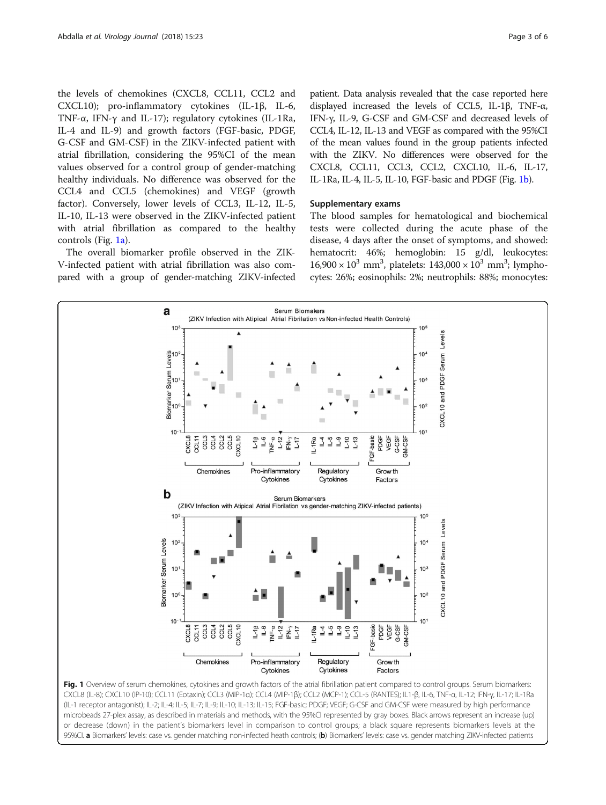<span id="page-2-0"></span>the levels of chemokines (CXCL8, CCL11, CCL2 and CXCL10); pro-inflammatory cytokines (IL-1β, IL-6, TNF- $\alpha$ , IFN- $\gamma$  and IL-17); regulatory cytokines (IL-1Ra, IL-4 and IL-9) and growth factors (FGF-basic, PDGF, G-CSF and GM-CSF) in the ZIKV-infected patient with atrial fibrillation, considering the 95%CI of the mean values observed for a control group of gender-matching healthy individuals. No difference was observed for the CCL4 and CCL5 (chemokines) and VEGF (growth factor). Conversely, lower levels of CCL3, IL-12, IL-5, IL-10, IL-13 were observed in the ZIKV-infected patient with atrial fibrillation as compared to the healthy controls (Fig. 1a).

The overall biomarker profile observed in the ZIK-V-infected patient with atrial fibrillation was also compared with a group of gender-matching ZIKV-infected

patient. Data analysis revealed that the case reported here displayed increased the levels of CCL5, IL-1β, TNF-α, IFN-γ, IL-9, G-CSF and GM-CSF and decreased levels of CCL4, IL-12, IL-13 and VEGF as compared with the 95%CI of the mean values found in the group patients infected with the ZIKV. No differences were observed for the CXCL8, CCL11, CCL3, CCL2, CXCL10, IL-6, IL-17, IL-1Ra, IL-4, IL-5, IL-10, FGF-basic and PDGF (Fig. 1b).

#### Supplementary exams

The blood samples for hematological and biochemical tests were collected during the acute phase of the disease, 4 days after the onset of symptoms, and showed: hematocrit: 46%; hemoglobin: 15 g/dl, leukocytes:  $16,900 \times 10^3$  mm<sup>3</sup>, platelets:  $143,000 \times 10^3$  mm<sup>3</sup>; lymphocytes: 26%; eosinophils: 2%; neutrophils: 88%; monocytes:



CXCL8 (IL-8); CXCL10 (IP-10); CCL11 (Eotaxin); CCL3 (MIP-1α); CCL4 (MIP-1β); CCL2 (MCP-1); CCL-5 (RANTES); IL1-β, IL-6, TNF-α, IL-12; IFN-γ, IL-17; IL-1Ra (IL-1 receptor antagonist); IL-2; IL-4; IL-5; IL-7; IL-9; IL-10; IL-13; IL-15; FGF-basic; PDGF; VEGF; G-CSF and GM-CSF were measured by high performance microbeads 27-plex assay, as described in materials and methods, with the 95%CI represented by gray boxes. Black arrows represent an increase (up) or decrease (down) in the patient's biomarkers level in comparison to control groups; a black square represents biomarkers levels at the 95%CI. a Biomarkers' levels: case vs. gender matching non-infected heath controls; (b) Biomarkers' levels: case vs. gender matching ZIKV-infected patients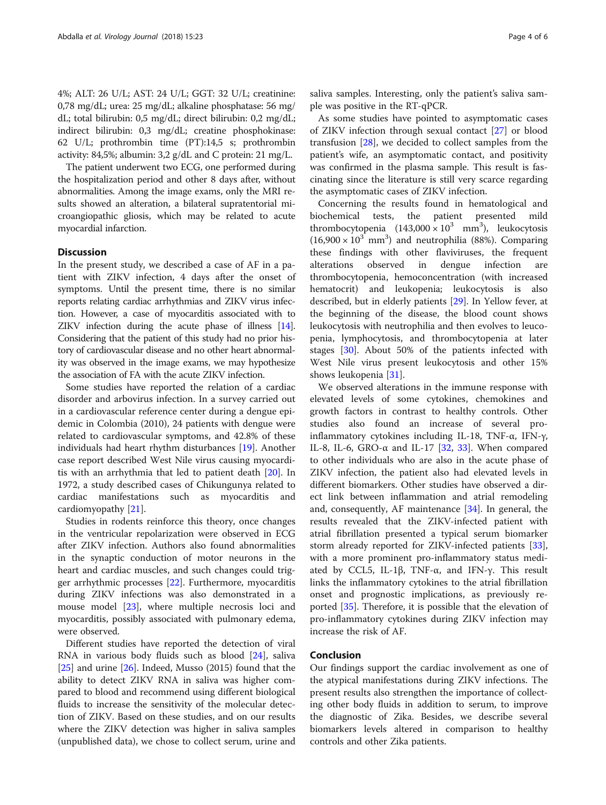4%; ALT: 26 U/L; AST: 24 U/L; GGT: 32 U/L; creatinine: 0,78 mg/dL; urea: 25 mg/dL; alkaline phosphatase: 56 mg/ dL; total bilirubin: 0,5 mg/dL; direct bilirubin: 0,2 mg/dL; indirect bilirubin: 0,3 mg/dL; creatine phosphokinase: 62 U/L; prothrombin time (PT):14,5 s; prothrombin activity: 84,5%; albumin: 3,2 g/dL and C protein: 21 mg/L.

The patient underwent two ECG, one performed during the hospitalization period and other 8 days after, without abnormalities. Among the image exams, only the MRI results showed an alteration, a bilateral supratentorial microangiopathic gliosis, which may be related to acute myocardial infarction.

#### **Discussion**

In the present study, we described a case of AF in a patient with ZIKV infection, 4 days after the onset of symptoms. Until the present time, there is no similar reports relating cardiac arrhythmias and ZIKV virus infection. However, a case of myocarditis associated with to ZIKV infection during the acute phase of illness [\[14](#page-4-0)]. Considering that the patient of this study had no prior history of cardiovascular disease and no other heart abnormality was observed in the image exams, we may hypothesize the association of FA with the acute ZIKV infection.

Some studies have reported the relation of a cardiac disorder and arbovirus infection. In a survey carried out in a cardiovascular reference center during a dengue epidemic in Colombia (2010), 24 patients with dengue were related to cardiovascular symptoms, and 42.8% of these individuals had heart rhythm disturbances [[19\]](#page-4-0). Another case report described West Nile virus causing myocarditis with an arrhythmia that led to patient death [[20\]](#page-4-0). In 1972, a study described cases of Chikungunya related to cardiac manifestations such as myocarditis and cardiomyopathy [\[21](#page-4-0)].

Studies in rodents reinforce this theory, once changes in the ventricular repolarization were observed in ECG after ZIKV infection. Authors also found abnormalities in the synaptic conduction of motor neurons in the heart and cardiac muscles, and such changes could trigger arrhythmic processes [[22\]](#page-4-0). Furthermore, myocarditis during ZIKV infections was also demonstrated in a mouse model [\[23\]](#page-4-0), where multiple necrosis loci and myocarditis, possibly associated with pulmonary edema, were observed.

Different studies have reported the detection of viral RNA in various body fluids such as blood [\[24](#page-4-0)], saliva  $[25]$  $[25]$  and urine  $[26]$  $[26]$ . Indeed, Musso  $(2015)$  found that the ability to detect ZIKV RNA in saliva was higher compared to blood and recommend using different biological fluids to increase the sensitivity of the molecular detection of ZIKV. Based on these studies, and on our results where the ZIKV detection was higher in saliva samples (unpublished data), we chose to collect serum, urine and

saliva samples. Interesting, only the patient's saliva sample was positive in the RT-qPCR.

As some studies have pointed to asymptomatic cases of ZIKV infection through sexual contact [[27\]](#page-5-0) or blood transfusion [[28\]](#page-5-0), we decided to collect samples from the patient's wife, an asymptomatic contact, and positivity was confirmed in the plasma sample. This result is fascinating since the literature is still very scarce regarding the asymptomatic cases of ZIKV infection.

Concerning the results found in hematological and biochemical tests, the patient presented mild thrombocytopenia  $(143,000 \times 10^3 \text{ mm}^3)$ , leukocytosis  $(16,900 \times 10^3 \text{ mm}^3)$  and neutrophilia (88%). Comparing these findings with other flaviviruses, the frequent alterations observed in dengue infection are thrombocytopenia, hemoconcentration (with increased hematocrit) and leukopenia; leukocytosis is also described, but in elderly patients [[29](#page-5-0)]. In Yellow fever, at the beginning of the disease, the blood count shows leukocytosis with neutrophilia and then evolves to leucopenia, lymphocytosis, and thrombocytopenia at later stages [[30\]](#page-5-0). About 50% of the patients infected with West Nile virus present leukocytosis and other 15% shows leukopenia [[31\]](#page-5-0).

We observed alterations in the immune response with elevated levels of some cytokines, chemokines and growth factors in contrast to healthy controls. Other studies also found an increase of several proinflammatory cytokines including IL-18, TNF-α, IFN-γ, IL-8, IL-6, GRO-α and IL-17 [[32,](#page-5-0) [33\]](#page-5-0). When compared to other individuals who are also in the acute phase of ZIKV infection, the patient also had elevated levels in different biomarkers. Other studies have observed a direct link between inflammation and atrial remodeling and, consequently, AF maintenance [\[34](#page-5-0)]. In general, the results revealed that the ZIKV-infected patient with atrial fibrillation presented a typical serum biomarker storm already reported for ZIKV-infected patients [\[33](#page-5-0)], with a more prominent pro-inflammatory status mediated by CCL5, IL-1β, TNF- $\alpha$ , and IFN- $\gamma$ . This result links the inflammatory cytokines to the atrial fibrillation onset and prognostic implications, as previously reported [[35\]](#page-5-0). Therefore, it is possible that the elevation of pro-inflammatory cytokines during ZIKV infection may increase the risk of AF.

#### Conclusion

Our findings support the cardiac involvement as one of the atypical manifestations during ZIKV infections. The present results also strengthen the importance of collecting other body fluids in addition to serum, to improve the diagnostic of Zika. Besides, we describe several biomarkers levels altered in comparison to healthy controls and other Zika patients.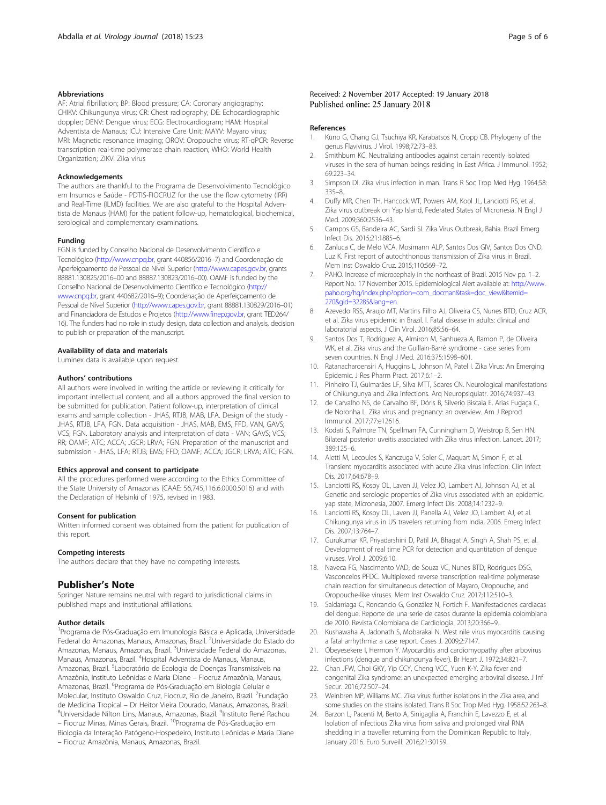#### <span id="page-4-0"></span>Abbreviations

AF: Atrial fibrillation; BP: Blood pressure; CA: Coronary angiography; CHIKV: Chikungunya virus; CR: Chest radiography; DE: Echocardiographic doppler; DENV: Dengue virus; ECG: Electrocardiogram; HAM: Hospital Adventista de Manaus; ICU: Intensive Care Unit; MAYV: Mayaro virus; MRI: Magnetic resonance imaging; OROV: Oropouche virus; RT-qPCR: Reverse transcription real-time polymerase chain reaction; WHO: World Health Organization; ZIKV: Zika virus

#### Acknowledgements

The authors are thankful to the Programa de Desenvolvimento Tecnológico em Insumos e Saúde - PDTIS-FIOCRUZ for the use the flow cytometry (IRR) and Real-Time (ILMD) facilities. We are also grateful to the Hospital Adventista de Manaus (HAM) for the patient follow-up, hematological, biochemical, serological and complementary examinations.

#### Funding

FGN is funded by Conselho Nacional de Desenvolvimento Científico e Tecnológico [\(http://www.cnpq.br](http://www.cnpq.br), grant 440856/2016–7) and Coordenação de Aperfeiçoamento de Pessoal de Nível Superior [\(http://www.capes.gov.br](http://www.capes.gov.br), grants 88881.130825/2016–00 and 88887.130823/2016–00). OAMF is funded by the Conselho Nacional de Desenvolvimento Científico e Tecnológico ([http://](http://www.cnpq.br) [www.cnpq.br,](http://www.cnpq.br) grant 440682/2016–9); Coordenação de Aperfeiçoamento de Pessoal de Nível Superior ([http://www.capes.gov.br,](http://www.capes.gov.br) grant 88881.130829/2016–01) and Financiadora de Estudos e Projetos [\(http://www.finep.gov.br,](http://www.finep.gov.br) grant TED264/ 16). The funders had no role in study design, data collection and analysis, decision to publish or preparation of the manuscript.

#### Availability of data and materials

Luminex data is available upon request.

#### Authors' contributions

All authors were involved in writing the article or reviewing it critically for important intellectual content, and all authors approved the final version to be submitted for publication. Patient follow-up, interpretation of clinical exams and sample collection - JHAS, RTJB, MAB, LFA. Design of the study - JHAS, RTJB, LFA, FGN. Data acquisition - JHAS, MAB, EMS, FFD, VAN, GAVS; VCS; FGN. Laboratory analysis and interpretation of data - VAN; GAVS; VCS; RR; OAMF; ATC; ACCA; JGCR; LRVA; FGN. Preparation of the manuscript and submission - JHAS, LFA; RTJB; EMS; FFD; OAMF; ACCA; JGCR; LRVA; ATC; FGN.

#### Ethics approval and consent to participate

All the procedures performed were according to the Ethics Committee of the State University of Amazonas (CAAE: 56,745,116.6.0000.5016) and with the Declaration of Helsinki of 1975, revised in 1983.

#### Consent for publication

Written informed consent was obtained from the patient for publication of this report.

#### Competing interests

The authors declare that they have no competing interests.

#### Publisher's Note

Springer Nature remains neutral with regard to jurisdictional claims in published maps and institutional affiliations.

#### Author details

<sup>1</sup> Programa de Pós-Graduação em Imunologia Básica e Aplicada, Universidade Federal do Amazonas, Manaus, Amazonas, Brazil. <sup>2</sup>Universidade do Estado do Amazonas, Manaus, Amazonas, Brazil. <sup>3</sup>Universidade Federal do Amazonas, Manaus, Amazonas, Brazil. <sup>4</sup>Hospital Adventista de Manaus, Manaus, Amazonas, Brazil. <sup>5</sup>Laboratório de Ecologia de Doenças Transmissíveis na Amazônia, Instituto Leônidas e Maria Diane – Fiocruz Amazônia, Manaus, Amazonas, Brazil. <sup>6</sup>Programa de Pós-Graduação em Biologia Celular e Molecular, Instituto Oswaldo Cruz, Fiocruz, Rio de Janeiro, Brazil. <sup>7</sup>Fundação de Medicina Tropical – Dr Heitor Vieira Dourado, Manaus, Amazonas, Brazil. Universidade Nilton Lins, Manaus, Amazonas, Brazil. <sup>9</sup>Instituto René Rachou – Fiocruz Minas, Minas Gerais, Brazil. 10Programa de Pós-Graduação em Biologia da Interação Patógeno-Hospedeiro, Instituto Leônidas e Maria Diane – Fiocruz Amazônia, Manaus, Amazonas, Brazil.

#### References

- 1. Kuno G, Chang GJ, Tsuchiya KR, Karabatsos N, Cropp CB. Phylogeny of the genus Flavivirus. J Virol. 1998;72:73–83.
- 2. Smithburn KC. Neutralizing antibodies against certain recently isolated viruses in the sera of human beings residing in East Africa. J Immunol. 1952; 69:223–34.
- 3. Simpson DI. Zika virus infection in man. Trans R Soc Trop Med Hyg. 1964;58: 335–8.
- 4. Duffy MR, Chen TH, Hancock WT, Powers AM, Kool JL, Lanciotti RS, et al. Zika virus outbreak on Yap Island, Federated States of Micronesia. N Engl J Med. 2009;360:2536–43.
- 5. Campos GS, Bandeira AC, Sardi SI. Zika Virus Outbreak, Bahia. Brazil Emerg Infect Dis. 2015;21:1885–6.
- 6. Zanluca C, de Melo VCA, Mosimann ALP, Santos Dos GIV, Santos Dos CND, Luz K. First report of autochthonous transmission of Zika virus in Brazil. Mem Inst Oswaldo Cruz. 2015;110:569–72.
- 7. PAHO. Increase of microcephaly in the northeast of Brazil. 2015 Nov pp. 1–2. Report No.: 17 November 2015. Epidemiological Alert available at: [http://www.](http://www.paho.org/hq/index.php?option=com_docman&task=doc_view&Itemid=270&gid=32285&lang=en) [paho.org/hq/index.php?option=com\\_docman&task=doc\\_view&Itemid=](http://www.paho.org/hq/index.php?option=com_docman&task=doc_view&Itemid=270&gid=32285&lang=en) [270&gid=32285&lang=en](http://www.paho.org/hq/index.php?option=com_docman&task=doc_view&Itemid=270&gid=32285&lang=en).
- 8. Azevedo RSS, Araujo MT, Martins Filho AJ, Oliveira CS, Nunes BTD, Cruz ACR, et al. Zika virus epidemic in Brazil. I. Fatal disease in adults: clinical and laboratorial aspects. J Clin Virol. 2016;85:56–64.
- 9. Santos Dos T, Rodriguez A, Almiron M, Sanhueza A, Ramon P, de Oliveira WK, et al. Zika virus and the Guillain-Barré syndrome - case series from seven countries. N Engl J Med. 2016;375:1598–601.
- 10. Ratanacharoensiri A, Huggins L, Johnson M, Patel I. Zika Virus: An Emerging Epidemic. J Res Pharm Pract. 2017;6:1–2.
- 11. Pinheiro TJ, Guimarães LF, Silva MTT, Soares CN. Neurological manifestations of Chikungunya and Zika infections. Arq Neuropsiquiatr. 2016;74:937–43.
- 12. de Carvalho NS, de Carvalho BF, Dóris B, Silverio Biscaia E, Arias Fugaça C, de Noronha L. Zika virus and pregnancy: an overview. Am J Reprod Immunol. 2017;77:e12616.
- 13. Kodati S, Palmore TN, Spellman FA, Cunningham D, Weistrop B, Sen HN. Bilateral posterior uveitis associated with Zika virus infection. Lancet. 2017; 389:125–6.
- 14. Aletti M, Lecoules S, Kanczuga V, Soler C, Maquart M, Simon F, et al. Transient myocarditis associated with acute Zika virus infection. Clin Infect Dis. 2017;64:678–9.
- 15. Lanciotti RS, Kosoy OL, Laven JJ, Velez JO, Lambert AJ, Johnson AJ, et al. Genetic and serologic properties of Zika virus associated with an epidemic, yap state, Micronesia, 2007. Emerg Infect Dis. 2008;14:1232–9.
- 16. Lanciotti RS, Kosoy OL, Laven JJ, Panella AJ, Velez JO, Lambert AJ, et al. Chikungunya virus in US travelers returning from India, 2006. Emerg Infect Dis. 2007;13:764–7.
- 17. Gurukumar KR, Priyadarshini D, Patil JA, Bhagat A, Singh A, Shah PS, et al. Development of real time PCR for detection and quantitation of dengue viruses. Virol J. 2009;6:10.
- 18. Naveca FG, Nascimento VAD, de Souza VC, Nunes BTD, Rodrigues DSG, Vasconcelos PFDC. Multiplexed reverse transcription real-time polymerase chain reaction for simultaneous detection of Mayaro, Oropouche, and Oropouche-like viruses. Mem Inst Oswaldo Cruz. 2017;112:510–3.
- 19. Saldarriaga C, Roncancio G, González N, Fortich F. Manifestaciones cardiacas del dengue. Reporte de una serie de casos durante la epidemia colombiana de 2010. Revista Colombiana de Cardiología. 2013;20:366–9.
- 20. Kushawaha A, Jadonath S, Mobarakai N. West nile virus myocarditis causing a fatal arrhythmia: a case report. Cases J. 2009;2:7147.
- 21. Obeyesekere I, Hermon Y. Myocarditis and cardiomyopathy after arbovirus infections (dengue and chikungunya fever). Br Heart J. 1972;34:821–7.
- 22. Chan JFW, Choi GKY, Yip CCY, Cheng VCC, Yuen K-Y. Zika fever and congenital Zika syndrome: an unexpected emerging arboviral disease. J Inf Secur. 2016;72:507–24.
- 23. Weinbren MP, Williams MC. Zika virus: further isolations in the Zika area, and some studies on the strains isolated. Trans R Soc Trop Med Hyg. 1958;52:263–8.
- 24. Barzon L, Pacenti M, Berto A, Sinigaglia A, Franchin E, Lavezzo E, et al. Isolation of infectious Zika virus from saliva and prolonged viral RNA shedding in a traveller returning from the Dominican Republic to Italy, January 2016. Euro Surveill. 2016;21:30159.